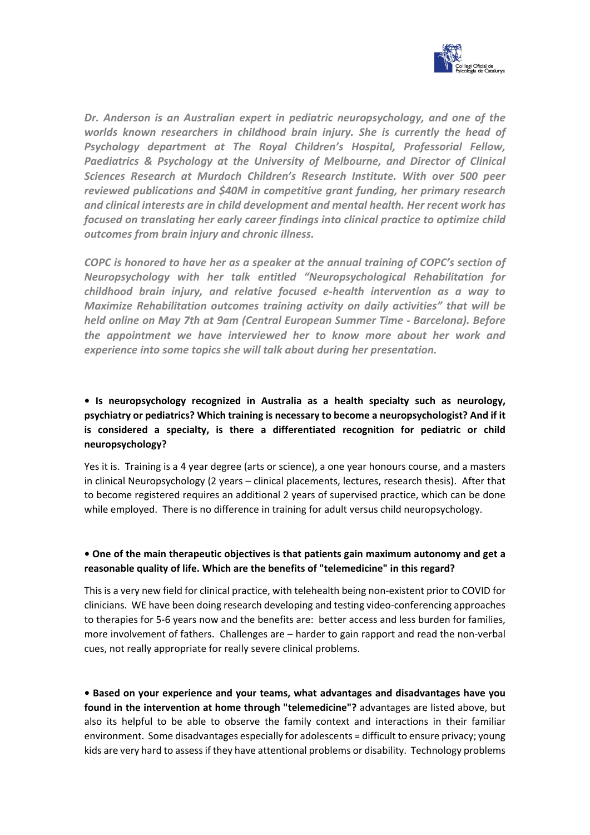

*Dr. Anderson is an Australian expert in pediatric neuropsychology, and one of the worlds known researchers in childhood brain injury. She is currently the head of Psychology department at The Royal Children's Hospital, Professorial Fellow, Paediatrics & Psychology at the University of Melbourne, and Director of Clinical Sciences Research at Murdoch Children's Research Institute. With over 500 peer reviewed publications and \$40M in competitive grant funding, her primary research and clinical interests are in child development and mental health. Her recent work has focused on translating her early career findings into clinical practice to optimize child outcomes from brain injury and chronic illness.*

*COPC is honored to have her as a speaker at the annual training of COPC's section of Neuropsychology with her talk entitled "Neuropsychological Rehabilitation for childhood brain injury, and relative focused e-health intervention as a way to Maximize Rehabilitation outcomes training activity on daily activities" that will be held online on May 7th at 9am (Central European Summer Time - Barcelona). Before the appointment we have interviewed her to know more about her work and experience into some topics she will talk about during her presentation.*

# **• Is neuropsychology recognized in Australia as a health specialty such as neurology, psychiatry or pediatrics? Which training is necessary to become a neuropsychologist? And if it is considered a specialty, is there a differentiated recognition for pediatric or child neuropsychology?**

Yes it is. Training is a 4 year degree (arts or science), a one year honours course, and a masters in clinical Neuropsychology (2 years – clinical placements, lectures, research thesis). After that to become registered requires an additional 2 years of supervised practice, which can be done while employed. There is no difference in training for adult versus child neuropsychology.

### **• One of the main therapeutic objectives is that patients gain maximum autonomy and get a reasonable quality of life. Which are the benefits of "telemedicine" in this regard?**

This is a very new field for clinical practice, with telehealth being non-existent prior to COVID for clinicians. WE have been doing research developing and testing video-conferencing approaches to therapies for 5-6 years now and the benefits are: better access and less burden for families, more involvement of fathers. Challenges are – harder to gain rapport and read the non-verbal cues, not really appropriate for really severe clinical problems.

**• Based on your experience and your teams, what advantages and disadvantages have you found in the intervention at home through "telemedicine"?** advantages are listed above, but also its helpful to be able to observe the family context and interactions in their familiar environment. Some disadvantages especially for adolescents = difficult to ensure privacy; young kids are very hard to assess if they have attentional problems or disability. Technology problems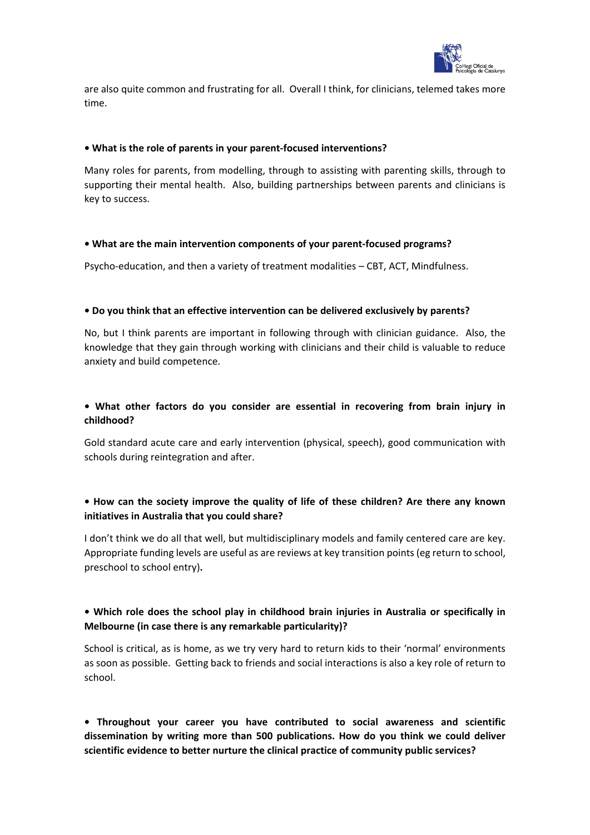

are also quite common and frustrating for all. Overall I think, for clinicians, telemed takes more time.

#### **• What is the role of parents in your parent-focused interventions?**

Many roles for parents, from modelling, through to assisting with parenting skills, through to supporting their mental health. Also, building partnerships between parents and clinicians is key to success.

#### **• What are the main intervention components of your parent-focused programs?**

Psycho-education, and then a variety of treatment modalities – CBT, ACT, Mindfulness.

#### **• Do you think that an effective intervention can be delivered exclusively by parents?**

No, but I think parents are important in following through with clinician guidance. Also, the knowledge that they gain through working with clinicians and their child is valuable to reduce anxiety and build competence.

## **• What other factors do you consider are essential in recovering from brain injury in childhood?**

Gold standard acute care and early intervention (physical, speech), good communication with schools during reintegration and after.

## **• How can the society improve the quality of life of these children? Are there any known initiatives in Australia that you could share?**

I don't think we do all that well, but multidisciplinary models and family centered care are key. Appropriate funding levels are useful as are reviews at key transition points (eg return to school, preschool to school entry)**.**

## **• Which role does the school play in childhood brain injuries in Australia or specifically in Melbourne (in case there is any remarkable particularity)?**

School is critical, as is home, as we try very hard to return kids to their 'normal' environments as soon as possible. Getting back to friends and social interactions is also a key role of return to school.

**• Throughout your career you have contributed to social awareness and scientific dissemination by writing more than 500 publications. How do you think we could deliver scientific evidence to better nurture the clinical practice of community public services?**